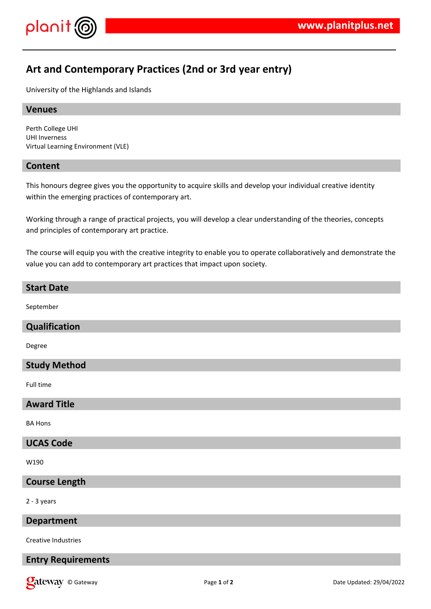

# **Art and Contemporary Practices (2nd or 3rd year entry)**

University of the Highlands and Islands

# **Venues**

Perth College UHI UHI Inverness Virtual Learning Environment (VLE)

# **Content**

This honours degree gives you the opportunity to acquire skills and develop your individual creative identity within the emerging practices of contemporary art.

Working through a range of practical projects, you will develop a clear understanding of the theories, concepts and principles of contemporary art practice.

The course will equip you with the creative integrity to enable you to operate collaboratively and demonstrate the value you can add to contemporary art practices that impact upon society.

#### **Start Date**

September

#### **Qualification**

Degree

#### **Study Method**

Full time

#### **Award Title**

BA Hons

#### **UCAS Code**

W190

#### **Course Length**

2 - 3 years

# **Department**

Creative Industries

# **Entry Requirements**